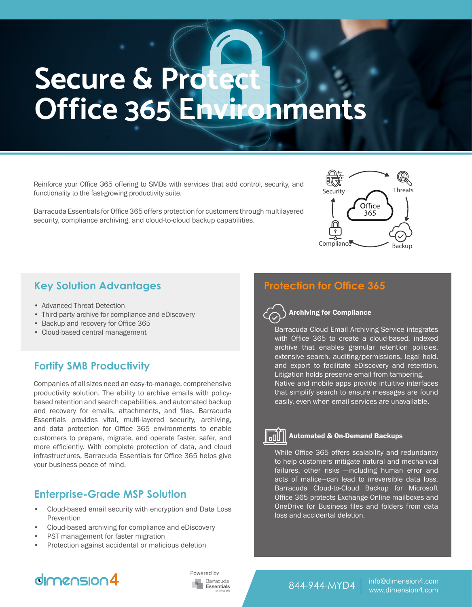# **Secure & Protect Office 365 Environments**

Reinforce your Office 365 offering to SMBs with services that add control, security, and functionality to the fast-growing productivity suite.

Barracuda Essentials for Office 365 offers protection for customers through multilayered security, compliance archiving, and cloud-to-cloud backup capabilities.

- Advanced Threat Detection
- Third-party archive for compliance and eDiscovery
- Backup and recovery for Office 365
- Cloud-based central management

#### **Fortify SMB Productivity**

Companies of all sizes need an easy-to-manage, comprehensive productivity solution. The ability to archive emails with policybased retention and search capabilities, and automated backup and recovery for emails, attachments, and files. Barracuda Essentials provides vital, multi-layered security, archiving, and data protection for Office 365 environments to enable customers to prepare, migrate, and operate faster, safer, and more efficiently. With complete protection of data, and cloud infrastructures, Barracuda Essentials for Office 365 helps give your business peace of mind.

#### **Enterprise-Grade MSP Solution**

- Cloud-based email security with encryption and Data Loss **Prevention**
- Cloud-based archiving for compliance and eDiscovery
- PST management for faster migration
- Protection against accidental or malicious deletion

### **Key Solution Advantages Protection for Office 365**

#### Archiving for Compliance

Barracuda Cloud Email Archiving Service integrates with Office 365 to create a cloud-based, indexed archive that enables granular retention policies, extensive search, auditing/permissions, legal hold, and export to facilitate eDiscovery and retention. Litigation holds preserve email from tampering. Native and mobile apps provide intuitive interfaces that simplify search to ensure messages are found easily, even when email services are unavailable.

Security Threats

Office 365

Backup



#### Automated & On-Demand Backups

While Office 365 offers scalability and redundancy to help customers mitigate natural and mechanical failures, other risks —including human error and acts of malice—can lead to irreversible data loss. Barracuda Cloud-to-Cloud Backup for Microsoft Office 365 protects Exchange Online mailboxes and OneDrive for Business files and folders from data loss and accidental deletion.

## $dmension4$